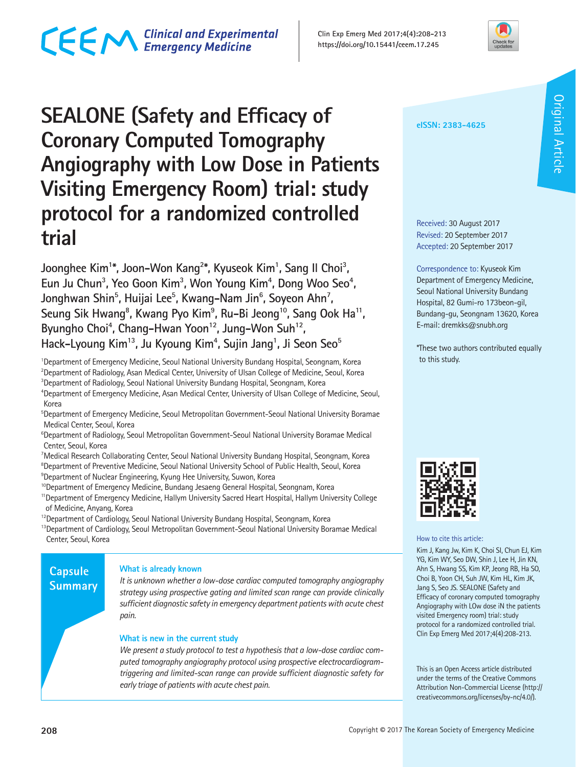# CECM Clinical and Experimental

**Clin Exp Emerg Med 2017;4(4):208-213 https://doi.org/10.15441/ceem.17.245**



# **SEALONE (Safety and Efficacy of Coronary Computed Tomography Angiography with Low Dose in Patients Visiting Emergency Room) trial: study protocol for a randomized controlled trial**

Joonghee Kim<sup>1\*</sup>, Joon–Won Kang<sup>2\*</sup>, Kyuseok Kim<sup>1</sup>, Sang II Choi<sup>3</sup>, Eun Ju Chun<sup>3</sup>, Yeo Goon Kim<sup>3</sup>, Won Young Kim<sup>4</sup>, Dong Woo Seo<sup>4</sup>, Jonghwan Shin<sup>5</sup>, Huijai Lee<sup>5</sup>, Kwang–Nam Jin<sup>6</sup>, Soyeon Ahn<sup>7</sup>, Seung Sik Hwang<sup>8</sup>, Kwang Pyo Kim<sup>9</sup>, Ru-Bi Jeong<sup>10</sup>, Sang Ook Ha<sup>11</sup>, Byungho Choi<sup>4</sup>, Chang-Hwan Yoon<sup>12</sup>, Jung-Won Suh<sup>12</sup>, **Hack-Lyoung Kim13, Ju Kyoung Kim4 , Sujin Jang1 , Ji Seon Seo5**

<sup>1</sup>Department of Emergency Medicine, Seoul National University Bundang Hospital, Seongnam, Korea <sup>2</sup>Department of Radiology, Asan Medical Center, University of Ulsan College of Medicine, Seoul, Korea 3 Department of Radiology, Seoul National University Bundang Hospital, Seongnam, Korea

4 Department of Emergency Medicine, Asan Medical Center, University of Ulsan College of Medicine, Seoul, Korea

5 Department of Emergency Medicine, Seoul Metropolitan Government-Seoul National University Boramae Medical Center, Seoul, Korea

<sup>6</sup>Department of Radiology, Seoul Metropolitan Government-Seoul National University Boramae Medical Center, Seoul, Korea

7 Medical Research Collaborating Center, Seoul National University Bundang Hospital, Seongnam, Korea <sup>8</sup>Department of Preventive Medicine, Seoul National University School of Public Health, Seoul, Korea 9 Department of Nuclear Engineering, Kyung Hee University, Suwon, Korea

<sup>10</sup>Department of Emergency Medicine, Bundang Jesaeng General Hospital, Seongnam, Korea

11Department of Emergency Medicine, Hallym University Sacred Heart Hospital, Hallym University College of Medicine, Anyang, Korea

<sup>12</sup> Department of Cardiology, Seoul National University Bundang Hospital, Seongnam, Korea

<sup>13</sup>Department of Cardiology, Seoul Metropolitan Government-Seoul National University Boramae Medical Center, Seoul, Korea

# **Capsule Summary**

#### **What is already known**

*It is unknown whether a low-dose cardiac computed tomography angiography strategy using prospective gating and limited scan range can provide clinically sufficient diagnostic safety in emergency department patients with acute chest pain.*

#### **What is new in the current study**

*We present a study protocol to test a hypothesis that a low-dose cardiac computed tomography angiography protocol using prospective electrocardiogramtriggering and limited-scan range can provide sufficient diagnostic safety for early triage of patients with acute chest pain.* 

#### **eISSN: 2383-4625**

Received: 30 August 2017 Revised: 20 September 2017 Accepted: 20 September 2017

Correspondence to: Kyuseok Kim Department of Emergency Medicine, Seoul National University Bundang Hospital, 82 Gumi-ro 173beon-gil, Bundang-gu, Seongnam 13620, Korea E-mail: dremkks@snubh.org

\*These two authors contributed equally to this study.



#### How to cite this article:

Kim J, Kang Jw, Kim K, Choi SI, Chun EJ, Kim YG, Kim WY, Seo DW, Shin J, Lee H, Jin KN, Ahn S, Hwang SS, Kim KP, Jeong RB, Ha SO, Choi B, Yoon CH, Suh JW, Kim HL, Kim JK, Jang S, Seo JS. SEALONE (Safety and Efficacy of coronary computed tomography Angiography with LOw dose iN the patients visited Emergency room) trial: study protocol for a randomized controlled trial. Clin Exp Emerg Med 2017;4(4):208-213.

This is an Open Access article distributed under the terms of the Creative Commons Attribution Non-Commercial License (http:// creativecommons.org/licenses/by-nc/4.0/).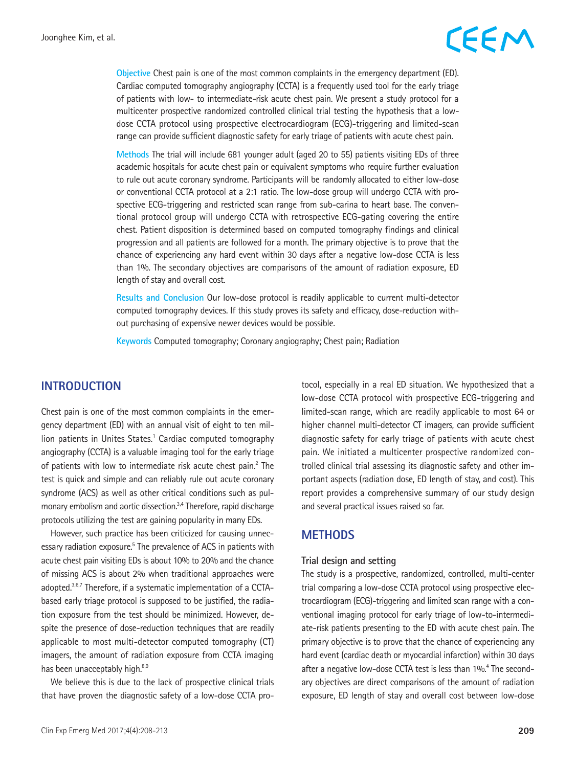# CEEM

**Objective** Chest pain is one of the most common complaints in the emergency department (ED). Cardiac computed tomography angiography (CCTA) is a frequently used tool for the early triage of patients with low- to intermediate-risk acute chest pain. We present a study protocol for a multicenter prospective randomized controlled clinical trial testing the hypothesis that a lowdose CCTA protocol using prospective electrocardiogram (ECG)-triggering and limited-scan range can provide sufficient diagnostic safety for early triage of patients with acute chest pain.

**Methods** The trial will include 681 younger adult (aged 20 to 55) patients visiting EDs of three academic hospitals for acute chest pain or equivalent symptoms who require further evaluation to rule out acute coronary syndrome. Participants will be randomly allocated to either low-dose or conventional CCTA protocol at a 2:1 ratio. The low-dose group will undergo CCTA with prospective ECG-triggering and restricted scan range from sub-carina to heart base. The conventional protocol group will undergo CCTA with retrospective ECG-gating covering the entire chest. Patient disposition is determined based on computed tomography findings and clinical progression and all patients are followed for a month. The primary objective is to prove that the chance of experiencing any hard event within 30 days after a negative low-dose CCTA is less than 1%. The secondary objectives are comparisons of the amount of radiation exposure, ED length of stay and overall cost.

**Results and Conclusion** Our low-dose protocol is readily applicable to current multi-detector computed tomography devices. If this study proves its safety and efficacy, dose-reduction without purchasing of expensive newer devices would be possible.

**Keywords** Computed tomography; Coronary angiography; Chest pain; Radiation

### **INTRODUCTION**

Chest pain is one of the most common complaints in the emergency department (ED) with an annual visit of eight to ten million patients in Unites States.<sup>1</sup> Cardiac computed tomography angiography (CCTA) is a valuable imaging tool for the early triage of patients with low to intermediate risk acute chest pain.<sup>2</sup> The test is quick and simple and can reliably rule out acute coronary syndrome (ACS) as well as other critical conditions such as pulmonary embolism and aortic dissection.<sup>3,4</sup> Therefore, rapid discharge protocols utilizing the test are gaining popularity in many EDs.

However, such practice has been criticized for causing unnecessary radiation exposure.<sup>5</sup> The prevalence of ACS in patients with acute chest pain visiting EDs is about 10% to 20% and the chance of missing ACS is about 2% when traditional approaches were adopted.<sup>3,6,7</sup> Therefore, if a systematic implementation of a CCTAbased early triage protocol is supposed to be justified, the radiation exposure from the test should be minimized. However, despite the presence of dose-reduction techniques that are readily applicable to most multi-detector computed tomography (CT) imagers, the amount of radiation exposure from CCTA imaging has been unacceptably high.<sup>8,9</sup>

We believe this is due to the lack of prospective clinical trials that have proven the diagnostic safety of a low-dose CCTA protocol, especially in a real ED situation. We hypothesized that a low-dose CCTA protocol with prospective ECG-triggering and limited-scan range, which are readily applicable to most 64 or higher channel multi-detector CT imagers, can provide sufficient diagnostic safety for early triage of patients with acute chest pain. We initiated a multicenter prospective randomized controlled clinical trial assessing its diagnostic safety and other important aspects (radiation dose, ED length of stay, and cost). This report provides a comprehensive summary of our study design and several practical issues raised so far.

### **METHODS**

#### **Trial design and setting**

The study is a prospective, randomized, controlled, multi-center trial comparing a low-dose CCTA protocol using prospective electrocardiogram (ECG)-triggering and limited scan range with a conventional imaging protocol for early triage of low-to-intermediate-risk patients presenting to the ED with acute chest pain. The primary objective is to prove that the chance of experiencing any hard event (cardiac death or myocardial infarction) within 30 days after a negative low-dose CCTA test is less than 1%.<sup>4</sup> The secondary objectives are direct comparisons of the amount of radiation exposure, ED length of stay and overall cost between low-dose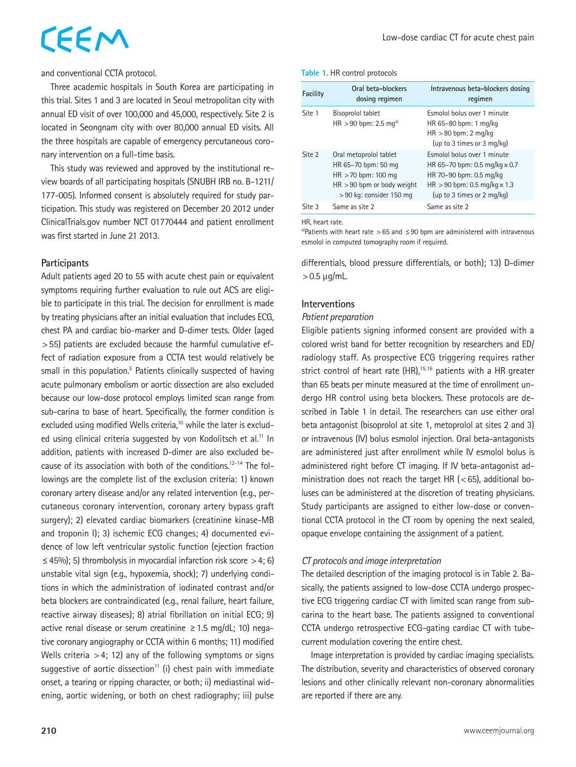# CEEM

and conventional CCTA protocol.

Three academic hospitals in South Korea are participating in this trial. Sites 1 and 3 are located in Seoul metropolitan city with annual ED visit of over 100,000 and 45,000, respectively. Site 2 is located in Seongnam city with over 80,000 annual ED visits. All the three hospitals are capable of emergency percutaneous coronary intervention on a full-time basis.

This study was reviewed and approved by the institutional review boards of all participating hospitals (SNUBH IRB no. B-1211/ 177-005). Informed consent is absolutely required for study participation. This study was registered on December 20 2012 under ClinicalTrials.gov number NCT 01770444 and patient enrollment was first started in June 21 2013.

#### **Participants**

Adult patients aged 20 to 55 with acute chest pain or equivalent symptoms requiring further evaluation to rule out ACS are eligible to participate in this trial. The decision for enrollment is made by treating physicians after an initial evaluation that includes ECG, chest PA and cardiac bio-marker and D-dimer tests. Older (aged >55) patients are excluded because the harmful cumulative effect of radiation exposure from a CCTA test would relatively be small in this population.<sup>5</sup> Patients clinically suspected of having acute pulmonary embolism or aortic dissection are also excluded because our low-dose protocol employs limited scan range from sub-carina to base of heart. Specifically, the former condition is excluded using modified Wells criteria,<sup>10</sup> while the later is excluded using clinical criteria suggested by von Kodolitsch et al.<sup>11</sup> In addition, patients with increased D-dimer are also excluded because of its association with both of the conditions.<sup>12-14</sup> The followings are the complete list of the exclusion criteria: 1) known coronary artery disease and/or any related intervention (e.g., percutaneous coronary intervention, coronary artery bypass graft surgery); 2) elevated cardiac biomarkers (creatinine kinase-MB and troponin I); 3) ischemic ECG changes; 4) documented evidence of low left ventricular systolic function (ejection fraction  $\leq$  45%); 5) thrombolysis in myocardial infarction risk score > 4; 6) unstable vital sign (e.g., hypoxemia, shock); 7) underlying conditions in which the administration of iodinated contrast and/or beta blockers are contraindicated (e.g., renal failure, heart failure, reactive airway diseases); 8) atrial fibrillation on initial ECG; 9) active renal disease or serum creatinine  $\geq$  1.5 mg/dL; 10) negative coronary angiography or CCTA within 6 months; 11) modified Wells criteria  $>4$ ; 12) any of the following symptoms or signs suggestive of aortic dissection<sup>11</sup> (i) chest pain with immediate onset, a tearing or ripping character, or both; ii) mediastinal widening, aortic widening, or both on chest radiography; iii) pulse

**Table 1.** HR control protocols

| Facility | Oral beta-blockers<br>dosing regimen                                                                                               | Intravenous beta-blockers dosing<br>regimen                                                                                                                           |
|----------|------------------------------------------------------------------------------------------------------------------------------------|-----------------------------------------------------------------------------------------------------------------------------------------------------------------------|
| Site 1   | Bisoprolol tablet<br>$HR > 90$ bpm: 2.5 mg <sup>a)</sup>                                                                           | Esmolol bolus over 1 minute<br>HR 65-80 bpm: 1 mg/kg<br>$HR > 80$ bpm: 2 mg/kg<br>(up to 3 times or 3 mg/kg)                                                          |
| Site 2   | Oral metoprolol tablet<br>HR 65-70 bpm: 50 mg<br>$HR > 70$ bpm: 100 mg<br>$HR > 90$ bpm or body weight<br>> 90 kg: consider 150 mg | Esmolol bolus over 1 minute<br>HR 65-70 bpm: 0.5 mg/kg $\times$ 0.7<br>HR 70-90 bpm: 0.5 mg/kg<br>$HR > 90$ bpm: 0.5 mg/kg $\times$ 1.3<br>(up to 3 times or 2 mg/kg) |
| Site 3   | Same as site 2                                                                                                                     | Same as site 2                                                                                                                                                        |

HR, heart rate.

a)Patients with heart rate >65 and  $\leq$  90 bpm are administered with intravenous esmolol in computed tomography room if required.

differentials, blood pressure differentials, or both); 13) D-dimer  $>0.5 \mu q/mL$ 

### **Interventions**

#### *Patient preparation*

Eligible patients signing informed consent are provided with a colored wrist band for better recognition by researchers and ED/ radiology staff. As prospective ECG triggering requires rather strict control of heart rate  $(HR)$ ,<sup>15,16</sup> patients with a HR greater than 65 beats per minute measured at the time of enrollment undergo HR control using beta blockers. These protocols are described in Table 1 in detail. The researchers can use either oral beta antagonist (bisoprolol at site 1, metoprolol at sites 2 and 3) or intravenous (IV) bolus esmolol injection. Oral beta-antagonists are administered just after enrollment while IV esmolol bolus is administered right before CT imaging. If IV beta-antagonist administration does not reach the target HR ( $<$  65), additional boluses can be administered at the discretion of treating physicians. Study participants are assigned to either low-dose or conventional CCTA protocol in the CT room by opening the next sealed, opaque envelope containing the assignment of a patient.

### *CT protocols and image interpretation*

The detailed description of the imaging protocol is in Table 2. Basically, the patients assigned to low-dose CCTA undergo prospective ECG triggering cardiac CT with limited scan range from subcarina to the heart base. The patients assigned to conventional CCTA undergo retrospective ECG-gating cardiac CT with tubecurrent modulation covering the entire chest.

Image interpretation is provided by cardiac imaging specialists. The distribution, severity and characteristics of observed coronary lesions and other clinically relevant non-coronary abnormalities are reported if there are any.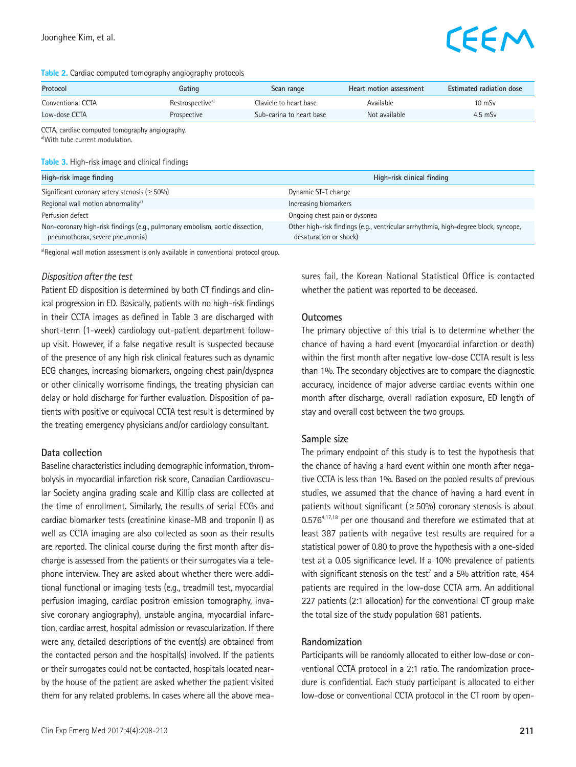# EEM

#### **Table 2.** Cardiac computed tomography angiography protocols

| Protocol          | Gating                       | Scan range               | Heart motion assessment | Estimated radiation dose |
|-------------------|------------------------------|--------------------------|-------------------------|--------------------------|
| Conventional CCTA | Restrospective <sup>a)</sup> | Clavicle to heart base   | Available               | $10 \text{ mSv}$         |
| Low-dose CCTA     | Prospective                  | Sub-carina to heart base | Not available           | $4.5$ mSv                |

CCTA, cardiac computed tomography angiography. a)With tube current modulation.

#### **Table 3.** High-risk image and clinical findings

| High-risk image finding                                                                                          | High-risk clinical finding                                                                                    |  |
|------------------------------------------------------------------------------------------------------------------|---------------------------------------------------------------------------------------------------------------|--|
| Significant coronary artery stenosis ( $\geq 50\%$ )                                                             | Dynamic ST-T change                                                                                           |  |
| Regional wall motion abnormality <sup>a)</sup>                                                                   | Increasing biomarkers                                                                                         |  |
| Perfusion defect                                                                                                 | Ongoing chest pain or dyspnea                                                                                 |  |
| Non-coronary high-risk findings (e.g., pulmonary embolism, aortic dissection,<br>pneumothorax, severe pneumonia) | Other high-risk findings (e.g., ventricular arrhythmia, high-degree block, syncope,<br>desaturation or shock) |  |

a)Regional wall motion assessment is only available in conventional protocol group.

#### *Disposition after the test*

Patient ED disposition is determined by both CT findings and clinical progression in ED. Basically, patients with no high-risk findings in their CCTA images as defined in Table 3 are discharged with short-term (1-week) cardiology out-patient department followup visit. However, if a false negative result is suspected because of the presence of any high risk clinical features such as dynamic ECG changes, increasing biomarkers, ongoing chest pain/dyspnea or other clinically worrisome findings, the treating physician can delay or hold discharge for further evaluation. Disposition of patients with positive or equivocal CCTA test result is determined by the treating emergency physicians and/or cardiology consultant.

#### **Data collection**

Baseline characteristics including demographic information, thrombolysis in myocardial infarction risk score, Canadian Cardiovascular Society angina grading scale and Killip class are collected at the time of enrollment. Similarly, the results of serial ECGs and cardiac biomarker tests (creatinine kinase-MB and troponin I) as well as CCTA imaging are also collected as soon as their results are reported. The clinical course during the first month after discharge is assessed from the patients or their surrogates via a telephone interview. They are asked about whether there were additional functional or imaging tests (e.g., treadmill test, myocardial perfusion imaging, cardiac positron emission tomography, invasive coronary angiography), unstable angina, myocardial infarction, cardiac arrest, hospital admission or revascularization. If there were any, detailed descriptions of the event(s) are obtained from the contacted person and the hospital(s) involved. If the patients or their surrogates could not be contacted, hospitals located nearby the house of the patient are asked whether the patient visited them for any related problems. In cases where all the above measures fail, the Korean National Statistical Office is contacted whether the patient was reported to be deceased.

#### **Outcomes**

The primary objective of this trial is to determine whether the chance of having a hard event (myocardial infarction or death) within the first month after negative low-dose CCTA result is less than 1%. The secondary objectives are to compare the diagnostic accuracy, incidence of major adverse cardiac events within one month after discharge, overall radiation exposure, ED length of stay and overall cost between the two groups.

#### **Sample size**

The primary endpoint of this study is to test the hypothesis that the chance of having a hard event within one month after negative CCTA is less than 1%. Based on the pooled results of previous studies, we assumed that the chance of having a hard event in patients without significant ( $\geq$  50%) coronary stenosis is about 0.5764,17,18 per one thousand and therefore we estimated that at least 387 patients with negative test results are required for a statistical power of 0.80 to prove the hypothesis with a one-sided test at a 0.05 significance level. If a 10% prevalence of patients with significant stenosis on the test<sup>7</sup> and a 5% attrition rate, 454 patients are required in the low-dose CCTA arm. An additional 227 patients (2:1 allocation) for the conventional CT group make the total size of the study population 681 patients.

#### **Randomization**

Participants will be randomly allocated to either low-dose or conventional CCTA protocol in a 2:1 ratio. The randomization procedure is confidential. Each study participant is allocated to either low-dose or conventional CCTA protocol in the CT room by open-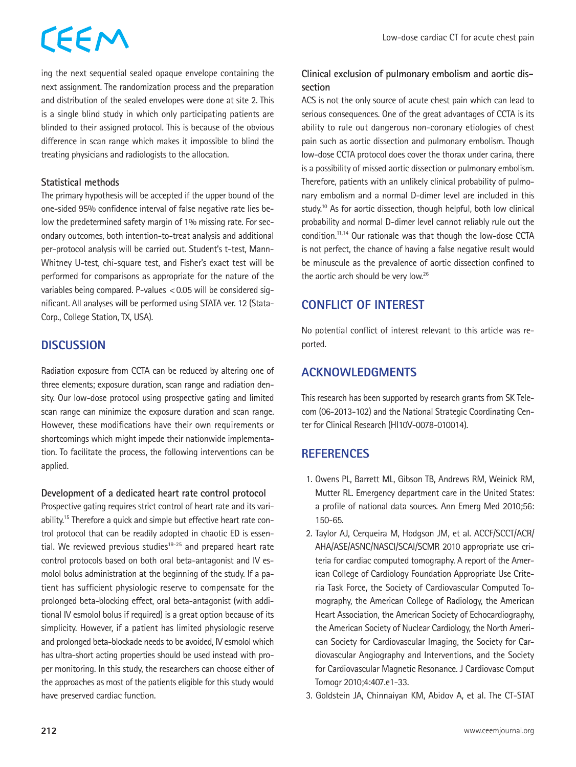# CEEM

ing the next sequential sealed opaque envelope containing the next assignment. The randomization process and the preparation and distribution of the sealed envelopes were done at site 2. This is a single blind study in which only participating patients are blinded to their assigned protocol. This is because of the obvious difference in scan range which makes it impossible to blind the treating physicians and radiologists to the allocation.

## **Statistical methods**

The primary hypothesis will be accepted if the upper bound of the one-sided 95% confidence interval of false negative rate lies below the predetermined safety margin of 1% missing rate. For secondary outcomes, both intention-to-treat analysis and additional per-protocol analysis will be carried out. Student's t-test, Mann-Whitney U-test, chi-square test, and Fisher's exact test will be performed for comparisons as appropriate for the nature of the variables being compared. P-values <0.05 will be considered significant. All analyses will be performed using STATA ver. 12 (Stata-Corp., College Station, TX, USA).

# **DISCUSSION**

Radiation exposure from CCTA can be reduced by altering one of three elements; exposure duration, scan range and radiation density. Our low-dose protocol using prospective gating and limited scan range can minimize the exposure duration and scan range. However, these modifications have their own requirements or shortcomings which might impede their nationwide implementation. To facilitate the process, the following interventions can be applied.

### **Development of a dedicated heart rate control protocol**

Prospective gating requires strict control of heart rate and its variability.<sup>15</sup> Therefore a quick and simple but effective heart rate control protocol that can be readily adopted in chaotic ED is essential. We reviewed previous studies<sup>19-25</sup> and prepared heart rate control protocols based on both oral beta-antagonist and IV esmolol bolus administration at the beginning of the study. If a patient has sufficient physiologic reserve to compensate for the prolonged beta-blocking effect, oral beta-antagonist (with additional IV esmolol bolus if required) is a great option because of its simplicity. However, if a patient has limited physiologic reserve and prolonged beta-blockade needs to be avoided, IV esmolol which has ultra-short acting properties should be used instead with proper monitoring. In this study, the researchers can choose either of the approaches as most of the patients eligible for this study would have preserved cardiac function.

# **Clinical exclusion of pulmonary embolism and aortic dissection**

ACS is not the only source of acute chest pain which can lead to serious consequences. One of the great advantages of CCTA is its ability to rule out dangerous non-coronary etiologies of chest pain such as aortic dissection and pulmonary embolism. Though low-dose CCTA protocol does cover the thorax under carina, there is a possibility of missed aortic dissection or pulmonary embolism. Therefore, patients with an unlikely clinical probability of pulmonary embolism and a normal D-dimer level are included in this study.<sup>10</sup> As for aortic dissection, though helpful, both low clinical probability and normal D-dimer level cannot reliably rule out the condition.11,14 Our rationale was that though the low-dose CCTA is not perfect, the chance of having a false negative result would be minuscule as the prevalence of aortic dissection confined to the aortic arch should be very low.<sup>26</sup>

# **CONFLICT OF INTEREST**

No potential conflict of interest relevant to this article was reported.

# **ACKNOWLEDGMENTS**

This research has been supported by research grants from SK Telecom (06-2013-102) and the National Strategic Coordinating Center for Clinical Research (HI10V-0078-010014).

# **REFERENCES**

- 1. Owens PL, Barrett ML, Gibson TB, Andrews RM, Weinick RM, Mutter RL. Emergency department care in the United States: a profile of national data sources. Ann Emerg Med 2010;56: 150-65.
- 2. Taylor AJ, Cerqueira M, Hodgson JM, et al. ACCF/SCCT/ACR/ AHA/ASE/ASNC/NASCI/SCAI/SCMR 2010 appropriate use criteria for cardiac computed tomography. A report of the American College of Cardiology Foundation Appropriate Use Criteria Task Force, the Society of Cardiovascular Computed Tomography, the American College of Radiology, the American Heart Association, the American Society of Echocardiography, the American Society of Nuclear Cardiology, the North American Society for Cardiovascular Imaging, the Society for Cardiovascular Angiography and Interventions, and the Society for Cardiovascular Magnetic Resonance. J Cardiovasc Comput Tomogr 2010;4:407.e1-33.
- 3. Goldstein JA, Chinnaiyan KM, Abidov A, et al. The CT-STAT